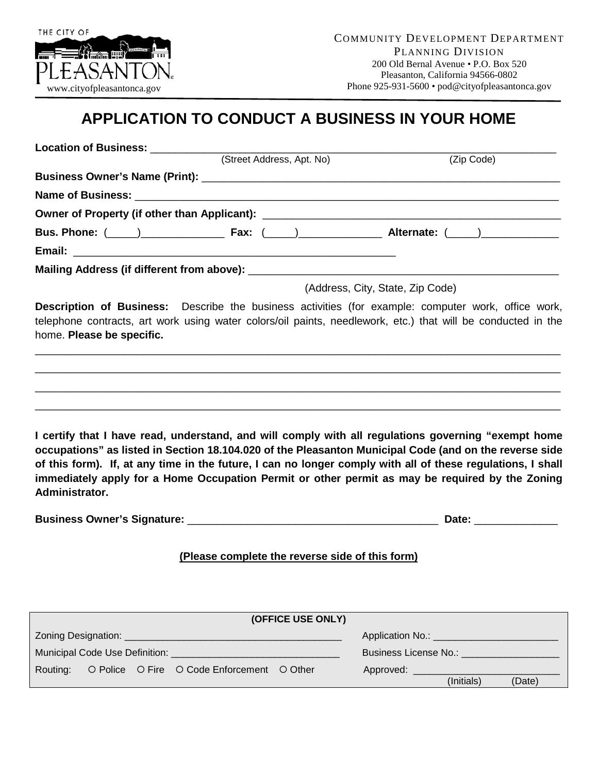

## **APPLICATION TO CONDUCT A BUSINESS IN YOUR HOME**

|                                                                                                        | (Street Address, Apt. No)                       | (Zip Code)                                                                                                                                                                                                                 |
|--------------------------------------------------------------------------------------------------------|-------------------------------------------------|----------------------------------------------------------------------------------------------------------------------------------------------------------------------------------------------------------------------------|
|                                                                                                        |                                                 |                                                                                                                                                                                                                            |
|                                                                                                        |                                                 |                                                                                                                                                                                                                            |
|                                                                                                        |                                                 |                                                                                                                                                                                                                            |
|                                                                                                        |                                                 | Bus. Phone: ( <u>120)</u> 2020 [2021 [2022] Fax: (2022) 2020 2020 2021 2022 2021 2022 2021 2022 2021 2022 2021 2022 2021                                                                                                   |
|                                                                                                        |                                                 |                                                                                                                                                                                                                            |
|                                                                                                        |                                                 |                                                                                                                                                                                                                            |
|                                                                                                        |                                                 | (Address, City, State, Zip Code)                                                                                                                                                                                           |
| home. Please be specific.                                                                              |                                                 | <b>Description of Business:</b> Describe the business activities (for example: computer work, office work,<br>telephone contracts, art work using water colors/oil paints, needlework, etc.) that will be conducted in the |
| occupations" as listed in Section 18.104.020 of the Pleasanton Municipal Code (and on the reverse side |                                                 | I certify that I have read, understand, and will comply with all regulations governing "exempt home                                                                                                                        |
| Administrator.                                                                                         |                                                 |                                                                                                                                                                                                                            |
|                                                                                                        |                                                 | immediately apply for a Home Occupation Permit or other permit as may be required by the Zoning<br>Date: _______________                                                                                                   |
|                                                                                                        | (Please complete the reverse side of this form) |                                                                                                                                                                                                                            |
|                                                                                                        |                                                 | of this form). If, at any time in the future, I can no longer comply with all of these regulations, I shall                                                                                                                |
|                                                                                                        | (OFFICE USE ONLY)                               |                                                                                                                                                                                                                            |
| Zoning Designation:                                                                                    |                                                 |                                                                                                                                                                                                                            |
| Municipal Code Use Definition: ___________                                                             |                                                 | <b>Business License No.:</b> No.: 2008                                                                                                                                                                                     |